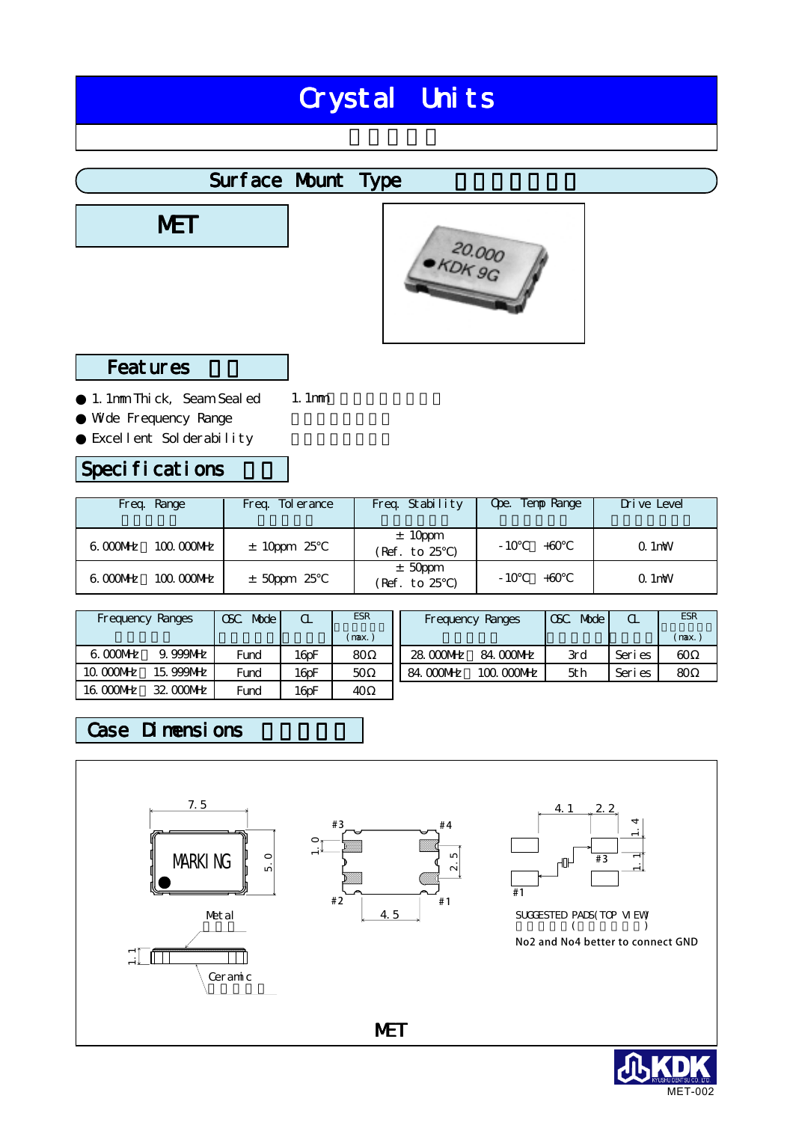# Crystal Units

## Surface Mount Type

**MET** 



#### **Features**

1.1mm Thick, Seam Sealed Wde Frequency Range Excellent Solderability 1.1mm

#### Specifications

| Freg. Range               | Freg. To erance | Freq. Stability          | Ope. Temp Range    | Drive Level |
|---------------------------|-----------------|--------------------------|--------------------|-------------|
| $6.000$ MHz<br>100.000MHz | $± 10 ppm$ 25   | ± 10 ppm<br>(Ref. to 25  | $-10^{-}$<br>$+60$ | $Q.1$ mW    |
| $6.000$ MHz<br>100.000MHz | $±$ 50ppm 25    | $±$ 50ppm<br>(Ref. to 25 | $-10^{-}$<br>$+60$ | $Q.1$ mW    |

|             | <b>Frequency Ranges</b> | Mode  <br>OSC. |                     | <b>ESR</b> |           | Frequency Ranges | CSC<br>Mode | $\alpha$ | <b>ESR</b> |
|-------------|-------------------------|----------------|---------------------|------------|-----------|------------------|-------------|----------|------------|
|             |                         |                |                     | (max.)     |           |                  |             |          | (max)      |
| $6.000$ MHz | 9.999MHz                | Fund           | $16$ oF             | 80         | 28.000MHz | 84.000MHz        | 3rd         | Seri es  | 60         |
| 10.000 MHz  | 15.999MHz               | Fund           | $16$ <sub>D</sub> F | 50         | 84.000MHz | 100.000MHz       | 5th         | Seri es  | 80         |
| 16.000MHz   | 32 000 MHz              | Fund           | $16$ oF             | 40         |           |                  |             |          |            |

### Case Dimensions



MET-002